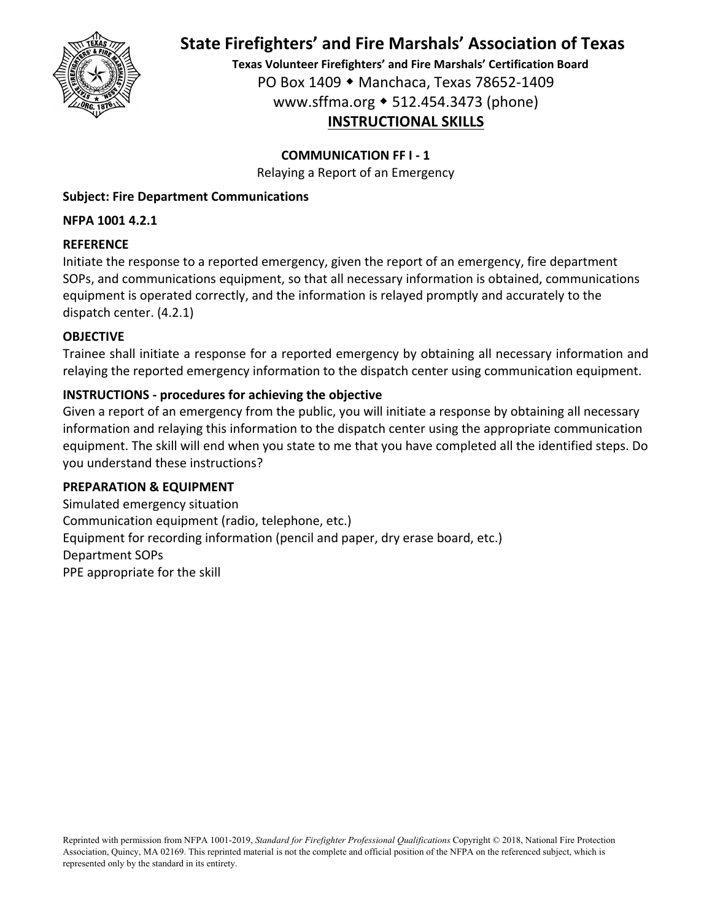

**Texas Volunteer Firefighters' and Fire Marshals' Certification Board** PO Box 1409 Manchaca, Texas 78652‐1409 www.sffma.org 512.454.3473 (phone) **INSTRUCTIONAL SKILLS**

## **COMMUNICATION FF I ‐ 1**

Relaying a Report of an Emergency

### **Subject: Fire Department Communications**

### **NFPA 1001 4.2.1**

### **REFERENCE**

Initiate the response to a reported emergency, given the report of an emergency, fire department SOPs, and communications equipment, so that all necessary information is obtained, communications equipment is operated correctly, and the information is relayed promptly and accurately to the dispatch center. (4.2.1)

## **OBJECTIVE**

Trainee shall initiate a response for a reported emergency by obtaining all necessary information and relaying the reported emergency information to the dispatch center using communication equipment.

## **INSTRUCTIONS ‐ procedures for achieving the objective**

Given a report of an emergency from the public, you will initiate a response by obtaining all necessary information and relaying this information to the dispatch center using the appropriate communication equipment. The skill will end when you state to me that you have completed all the identified steps. Do you understand these instructions?

### **PREPARATION & EQUIPMENT**

Simulated emergency situation Communication equipment (radio, telephone, etc.) Equipment for recording information (pencil and paper, dry erase board, etc.) Department SOPs PPE appropriate for the skill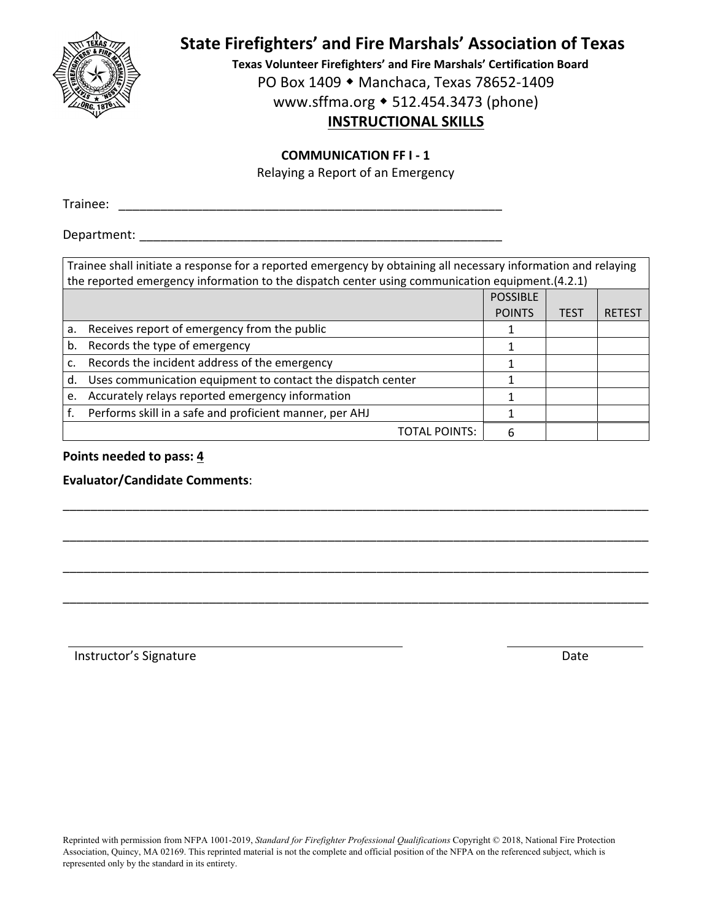

**Texas Volunteer Firefighters' and Fire Marshals' Certification Board** PO Box 1409 ◆ Manchaca, Texas 78652-1409

www.sffma.org 512.454.3473 (phone)

## **INSTRUCTIONAL SKILLS**

#### **COMMUNICATION FF I ‐ 1**

Relaying a Report of an Emergency

Trainee: **The Community of the Community of the Community of the Community of the Community of the Community of the Community of the Community of the Community of the Community of the Community of the Community of the Comm** 

Department: \_\_\_\_\_\_\_\_\_\_\_\_\_\_\_\_\_\_\_\_\_\_\_\_\_\_\_\_\_\_\_\_\_\_\_\_\_\_\_\_\_\_\_\_\_\_\_\_\_\_\_\_

| Trainee shall initiate a response for a reported emergency by obtaining all necessary information and relaying<br>the reported emergency information to the dispatch center using communication equipment. (4.2.1) |                                                             |                 |             |              |  |  |  |
|--------------------------------------------------------------------------------------------------------------------------------------------------------------------------------------------------------------------|-------------------------------------------------------------|-----------------|-------------|--------------|--|--|--|
|                                                                                                                                                                                                                    |                                                             | <b>POSSIBLE</b> |             |              |  |  |  |
|                                                                                                                                                                                                                    |                                                             | <b>POINTS</b>   | <b>TEST</b> | <b>RETES</b> |  |  |  |
| a.                                                                                                                                                                                                                 | Receives report of emergency from the public                |                 |             |              |  |  |  |
| b.                                                                                                                                                                                                                 | Records the type of emergency                               |                 |             |              |  |  |  |
| c.                                                                                                                                                                                                                 | Records the incident address of the emergency               |                 |             |              |  |  |  |
| d.                                                                                                                                                                                                                 | Uses communication equipment to contact the dispatch center |                 |             |              |  |  |  |
| e.                                                                                                                                                                                                                 | Accurately relays reported emergency information            |                 |             |              |  |  |  |
|                                                                                                                                                                                                                    | Performs skill in a safe and proficient manner, per AHJ     |                 |             |              |  |  |  |
|                                                                                                                                                                                                                    | TOTAL POINTS:                                               | 6               |             |              |  |  |  |

\_\_\_\_\_\_\_\_\_\_\_\_\_\_\_\_\_\_\_\_\_\_\_\_\_\_\_\_\_\_\_\_\_\_\_\_\_\_\_\_\_\_\_\_\_\_\_\_\_\_\_\_\_\_\_\_\_\_\_\_\_\_\_\_\_\_\_\_\_\_\_\_\_\_\_\_\_\_\_\_\_\_\_\_

\_\_\_\_\_\_\_\_\_\_\_\_\_\_\_\_\_\_\_\_\_\_\_\_\_\_\_\_\_\_\_\_\_\_\_\_\_\_\_\_\_\_\_\_\_\_\_\_\_\_\_\_\_\_\_\_\_\_\_\_\_\_\_\_\_\_\_\_\_\_\_\_\_\_\_\_\_\_\_\_\_\_\_\_

\_\_\_\_\_\_\_\_\_\_\_\_\_\_\_\_\_\_\_\_\_\_\_\_\_\_\_\_\_\_\_\_\_\_\_\_\_\_\_\_\_\_\_\_\_\_\_\_\_\_\_\_\_\_\_\_\_\_\_\_\_\_\_\_\_\_\_\_\_\_\_\_\_\_\_\_\_\_\_\_\_\_\_\_

\_\_\_\_\_\_\_\_\_\_\_\_\_\_\_\_\_\_\_\_\_\_\_\_\_\_\_\_\_\_\_\_\_\_\_\_\_\_\_\_\_\_\_\_\_\_\_\_\_\_\_\_\_\_\_\_\_\_\_\_\_\_\_\_\_\_\_\_\_\_\_\_\_\_\_\_\_\_\_\_\_\_\_\_

**Points needed to pass: 4**

**Evaluator/Candidate Comments**:

Instructor's Signature **Date**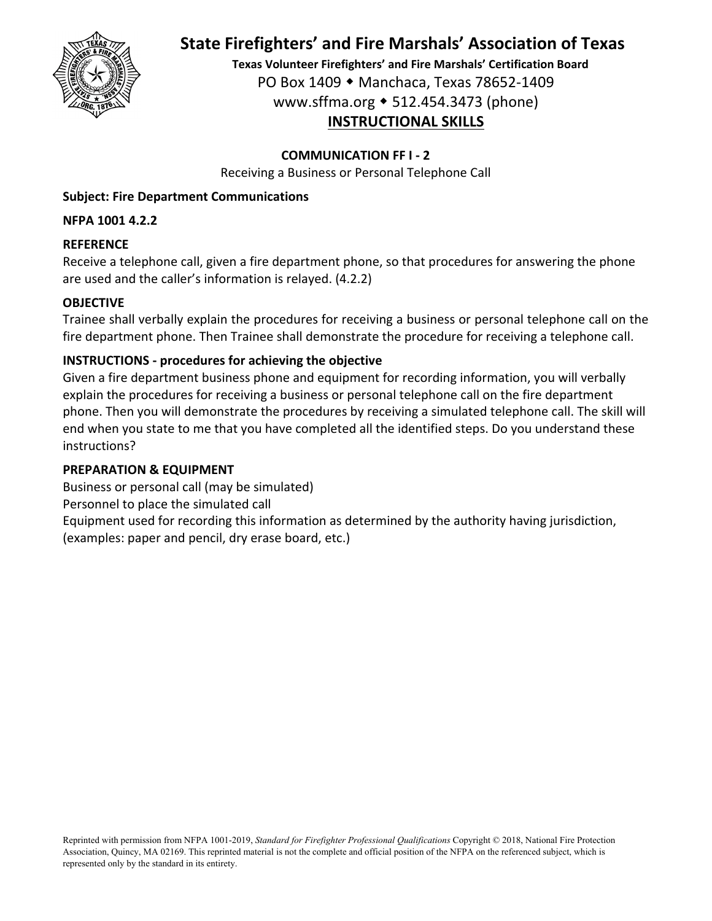

**Texas Volunteer Firefighters' and Fire Marshals' Certification Board** PO Box 1409 Manchaca, Texas 78652‐1409 www.sffma.org 512.454.3473 (phone) **INSTRUCTIONAL SKILLS**

### **COMMUNICATION FF I ‐ 2**

Receiving a Business or Personal Telephone Call

### **Subject: Fire Department Communications**

### **NFPA 1001 4.2.2**

### **REFERENCE**

Receive a telephone call, given a fire department phone, so that procedures for answering the phone are used and the caller's information is relayed. (4.2.2)

### **OBJECTIVE**

Trainee shall verbally explain the procedures for receiving a business or personal telephone call on the fire department phone. Then Trainee shall demonstrate the procedure for receiving a telephone call.

### **INSTRUCTIONS ‐ procedures for achieving the objective**

Given a fire department business phone and equipment for recording information, you will verbally explain the procedures for receiving a business or personal telephone call on the fire department phone. Then you will demonstrate the procedures by receiving a simulated telephone call. The skill will end when you state to me that you have completed all the identified steps. Do you understand these instructions?

### **PREPARATION & EQUIPMENT**

Business or personal call (may be simulated) Personnel to place the simulated call Equipment used for recording this information as determined by the authority having jurisdiction, (examples: paper and pencil, dry erase board, etc.)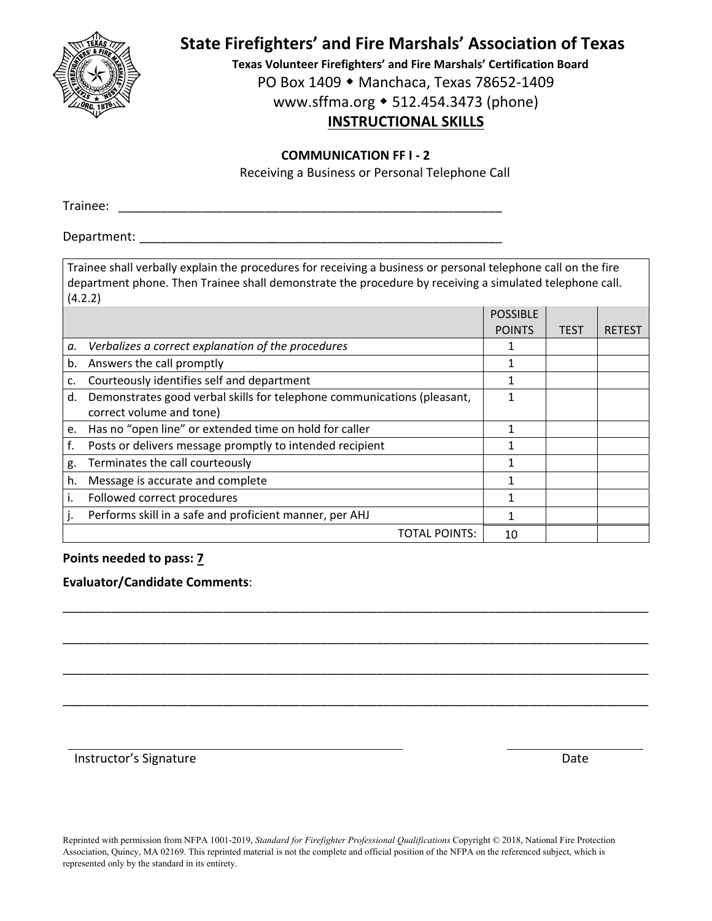

**Texas Volunteer Firefighters' and Fire Marshals' Certification Board**

PO Box 1409 ◆ Manchaca, Texas 78652-1409

www.sffma.org 512.454.3473 (phone)

## **INSTRUCTIONAL SKILLS**

#### **COMMUNICATION FF I ‐ 2**

Receiving a Business or Personal Telephone Call

Trainee:

Department:

Trainee shall verbally explain the procedures for receiving a business or personal telephone call on the fire department phone. Then Trainee shall demonstrate the procedure by receiving a simulated telephone call.  $(4.2.2)$ 

|    | T.L.L                                                                   |                 |             |               |  |  |  |
|----|-------------------------------------------------------------------------|-----------------|-------------|---------------|--|--|--|
|    |                                                                         | <b>POSSIBLE</b> |             |               |  |  |  |
|    |                                                                         | <b>POINTS</b>   | <b>TEST</b> | <b>RETEST</b> |  |  |  |
| а. | Verbalizes a correct explanation of the procedures                      |                 |             |               |  |  |  |
| b. | Answers the call promptly                                               |                 |             |               |  |  |  |
| c. | Courteously identifies self and department                              |                 |             |               |  |  |  |
| d. | Demonstrates good verbal skills for telephone communications (pleasant, |                 |             |               |  |  |  |
|    | correct volume and tone)                                                |                 |             |               |  |  |  |
| e. | Has no "open line" or extended time on hold for caller                  |                 |             |               |  |  |  |
| f. | Posts or delivers message promptly to intended recipient                |                 |             |               |  |  |  |
| g. | Terminates the call courteously                                         |                 |             |               |  |  |  |
| h. | Message is accurate and complete                                        |                 |             |               |  |  |  |
|    | Followed correct procedures                                             |                 |             |               |  |  |  |
|    | Performs skill in a safe and proficient manner, per AHJ                 |                 |             |               |  |  |  |
|    | TOTAL POINTS:                                                           | 10              |             |               |  |  |  |

\_\_\_\_\_\_\_\_\_\_\_\_\_\_\_\_\_\_\_\_\_\_\_\_\_\_\_\_\_\_\_\_\_\_\_\_\_\_\_\_\_\_\_\_\_\_\_\_\_\_\_\_\_\_\_\_\_\_\_\_\_\_\_\_\_\_\_\_\_\_\_\_\_\_\_\_\_\_\_\_\_\_\_\_

\_\_\_\_\_\_\_\_\_\_\_\_\_\_\_\_\_\_\_\_\_\_\_\_\_\_\_\_\_\_\_\_\_\_\_\_\_\_\_\_\_\_\_\_\_\_\_\_\_\_\_\_\_\_\_\_\_\_\_\_\_\_\_\_\_\_\_\_\_\_\_\_\_\_\_\_\_\_\_\_\_\_\_\_

\_\_\_\_\_\_\_\_\_\_\_\_\_\_\_\_\_\_\_\_\_\_\_\_\_\_\_\_\_\_\_\_\_\_\_\_\_\_\_\_\_\_\_\_\_\_\_\_\_\_\_\_\_\_\_\_\_\_\_\_\_\_\_\_\_\_\_\_\_\_\_\_\_\_\_\_\_\_\_\_\_\_\_\_

\_\_\_\_\_\_\_\_\_\_\_\_\_\_\_\_\_\_\_\_\_\_\_\_\_\_\_\_\_\_\_\_\_\_\_\_\_\_\_\_\_\_\_\_\_\_\_\_\_\_\_\_\_\_\_\_\_\_\_\_\_\_\_\_\_\_\_\_\_\_\_\_\_\_\_\_\_\_\_\_\_\_\_\_

#### **Points needed to pass: 7**

#### **Evaluator/Candidate Comments**:

Instructor's Signature **Date Date Date Date Date** *Date* 

Reprinted with permission from NFPA 1001-2019, *Standard for Firefighter Professional Qualifications* Copyright © 2018, National Fire Protection Association, Quincy, MA 02169. This reprinted material is not the complete and official position of the NFPA on the referenced subject, which is represented only by the standard in its entirety.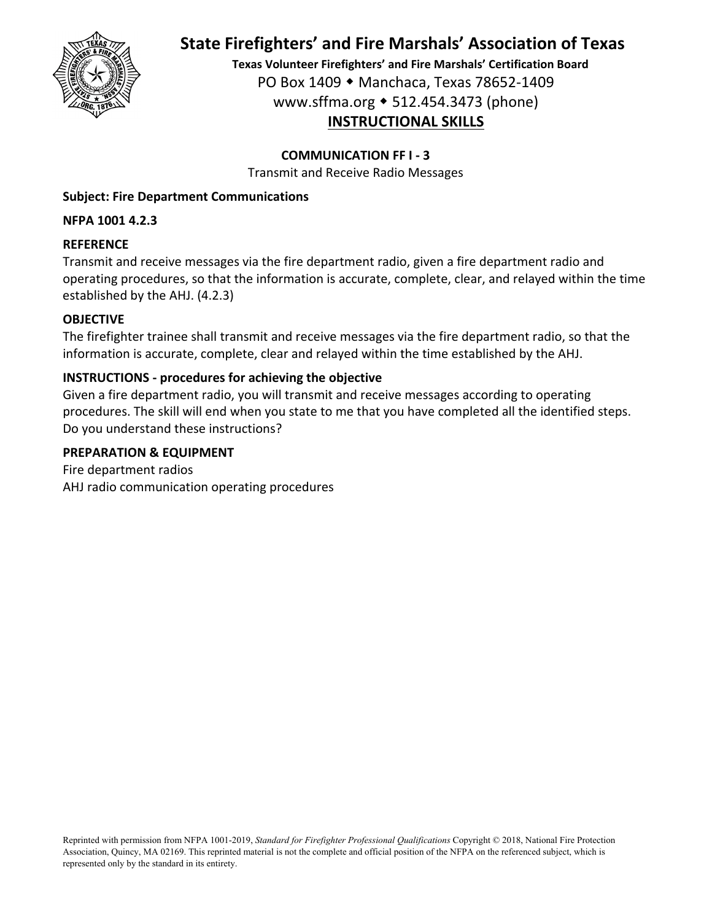

**Texas Volunteer Firefighters' and Fire Marshals' Certification Board** PO Box 1409 Manchaca, Texas 78652‐1409 www.sffma.org 512.454.3473 (phone) **INSTRUCTIONAL SKILLS**

### **COMMUNICATION FF I ‐ 3**

Transmit and Receive Radio Messages

### **Subject: Fire Department Communications**

### **NFPA 1001 4.2.3**

### **REFERENCE**

Transmit and receive messages via the fire department radio, given a fire department radio and operating procedures, so that the information is accurate, complete, clear, and relayed within the time established by the AHJ. (4.2.3)

## **OBJECTIVE**

The firefighter trainee shall transmit and receive messages via the fire department radio, so that the information is accurate, complete, clear and relayed within the time established by the AHJ.

## **INSTRUCTIONS ‐ procedures for achieving the objective**

Given a fire department radio, you will transmit and receive messages according to operating procedures. The skill will end when you state to me that you have completed all the identified steps. Do you understand these instructions?

### **PREPARATION & EQUIPMENT**

Fire department radios AHJ radio communication operating procedures

Reprinted with permission from NFPA 1001-2019, *Standard for Firefighter Professional Qualifications* Copyright © 2018, National Fire Protection Association, Quincy, MA 02169. This reprinted material is not the complete and official position of the NFPA on the referenced subject, which is represented only by the standard in its entirety.